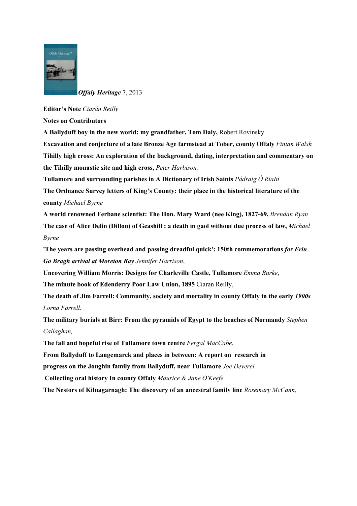

*Offaly Heritage* 7, 2013

## **Editor's Note** *Ciarán Reilly*

**Notes on Contributors**

**A Ballyduff boy in the new world: my grandfather, Tom Daly,** Robert Rovinsky

**Excavation and conjecture of a late Bronze Age farmstead at Tober, county Offaly** *Fintan Walsh* **Tihilly high cross: An exploration of the background, dating, interpretation and commentary on the Tihilly monastic site and high cross,** *Peter Harbison,*

**Tullamore and surrounding parishes in A Dictionary of Irish Saints** *Pádraig Ó RiaIn*

**The Ordnance Survey letters of King's County: their place in the historical literature of the county** *Michael Byrne*

**A world renowned Ferbane scientist: The Hon. Mary Ward (nee King), 1827-69,** *Brendan Ryan* **The case of Alice Delin (Dillon) of Geashill : a death in gaol without due process of law,** *Michael Byrne*

**'The years are passing overhead and passing dreadful quick': 150th commemorations** *for Erin Go Bragh arrival at Moreto n Bay Jennifer Harrison*,

**Uncovering William Morris: Designs for Charleville Castle, Tullamore** *Emma Burke*,

**The minute book of Edenderry Poor Law Union, 1895** Ciaran Reilly,

**The death of Jim Farrell: Community, society and mortality in county Offaly in the early** *1900s Lorna Farrell*,

**The military burials at Birr: From the pyramids of Egypt to the beaches of Normandy** *St ephen Callaghan,*

**The fall and hopeful rise of Tullamore town centre** *Fergal MacCabe*,

**From Ballyduff to Langemarck and places in between: A report on research in**

**progress on the Joughin family from Ballyduff, near Tullamore** *Joe Deverel*

**Collecting oral history In county Offaly** *Maurice & Jane O'Keefe* 

**The Nestors of Kilnagarnagh: The discovery of an ancestral family line** *Rosemary McCann,*